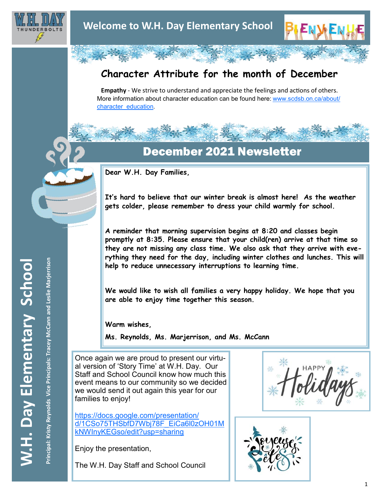

## **Character Attribute for the month of December**

**Empathy** - We strive to understand and appreciate the feelings and actions of others. More information about character education can be found here: [www.scdsb.on.ca/about/](http://www.scdsb.on.ca/about/character_education) [character\\_education.](http://www.scdsb.on.ca/about/character_education)

## December 2021 Newsletter

**Dear W.H. Day Families,**

**It's hard to believe that our winter break is almost here! As the weather gets colder, please remember to dress your child warmly for school.** 

**A reminder that morning supervision begins at 8:20 and classes begin promptly at 8:35. Please ensure that your child(ren) arrive at that time so they are not missing any class time. We also ask that they arrive with everything they need for the day, including winter clothes and lunches. This will help to reduce unnecessary interruptions to learning time.**

**We would like to wish all families a very happy holiday. We hope that you are able to enjoy time together this season.**

**Warm wishes,**

**Ms. Reynolds, Ms. Marjerrison, and Ms. McCann**

Once again we are proud to present our virtual version of 'Story Time' at W.H. Day. Our Staff and School Council know how much this event means to our community so we decided we would send it out again this year for our families to enjoy!

[https://docs.google.com/presentation/](https://docs.google.com/presentation/d/1CSo75THSbfD7Wbj78F_EiCa6l0zOH01MkNWInyKEGso/edit#slide=id.gada7e7d67e_0_25) [d/1CSo75THSbfD7Wbj78F\\_EiCa6l0zOH01M](https://docs.google.com/presentation/d/1CSo75THSbfD7Wbj78F_EiCa6l0zOH01MkNWInyKEGso/edit#slide=id.gada7e7d67e_0_25) [kNWInyKEGso/edit?usp=sharing](https://docs.google.com/presentation/d/1CSo75THSbfD7Wbj78F_EiCa6l0zOH01MkNWInyKEGso/edit#slide=id.gada7e7d67e_0_25)

Enjoy the presentation,

The W.H. Day Staff and School Council

类



Principal: Kristy Reynolds Vice Principals: Tracey McCann and Leslie Marjerrison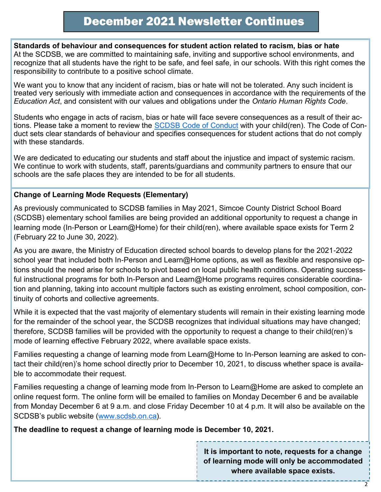**Standards of behaviour and consequences for student action related to racism, bias or hate** At the SCDSB, we are committed to maintaining safe, inviting and supportive school environments, and recognize that all students have the right to be safe, and feel safe, in our schools. With this right comes the responsibility to contribute to a positive school climate.

We want you to know that any incident of racism, bias or hate will not be tolerated. Any such incident is treated very seriously with immediate action and consequences in accordance with the requirements of the *Education Act*, and consistent with our values and obligations under the *Ontario Human Rights Code*.

Students who engage in acts of racism, bias or hate will face severe consequences as a result of their ac-tions. Please take a moment to review the [SCDSB Code of Conduct](https://scdsb.on.ca/elementary/safe_schools) with your child(ren). The Code of Conduct sets clear standards of behaviour and specifies consequences for student actions that do not comply with these standards.

We are dedicated to educating our students and staff about the injustice and impact of systemic racism. We continue to work with students, staff, parents/guardians and community partners to ensure that our schools are the safe places they are intended to be for all students.

## **Change of Learning Mode Requests (Elementary)**

As previously communicated to SCDSB families in May 2021, Simcoe County District School Board (SCDSB) elementary school families are being provided an additional opportunity to request a change in learning mode (In-Person or Learn@Home) for their child(ren), where available space exists for Term 2 (February 22 to June 30, 2022).

As you are aware, the Ministry of Education directed school boards to develop plans for the 2021-2022 school year that included both In-Person and Learn@Home options, as well as flexible and responsive options should the need arise for schools to pivot based on local public health conditions. Operating successful instructional programs for both In-Person and Learn@Home programs requires considerable coordination and planning, taking into account multiple factors such as existing enrolment, school composition, continuity of cohorts and collective agreements.

While it is expected that the vast majority of elementary students will remain in their existing learning mode for the remainder of the school year, the SCDSB recognizes that individual situations may have changed; therefore, SCDSB families will be provided with the opportunity to request a change to their child(ren)'s mode of learning effective February 2022, where available space exists.

Families requesting a change of learning mode from Learn@Home to In-Person learning are asked to contact their child(ren)'s home school directly prior to December 10, 2021, to discuss whether space is available to accommodate their request.

Families requesting a change of learning mode from In-Person to Learn@Home are asked to complete an online request form. The online form will be emailed to families on Monday December 6 and be available from Monday December 6 at 9 a.m. and close Friday December 10 at 4 p.m. It will also be available on the SCDSB's public website [\(www.scdsb.on.ca\).](http://www.scdsb.on.ca)

**The deadline to request a change of learning mode is December 10, 2021.**

**It is important to note, requests for a change of learning mode will only be accommodated where available space exists.**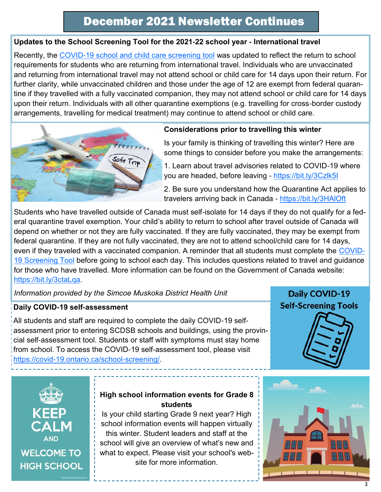## **Updates to the School Screening Tool for the 2021-22 school year - International travel**

Recently, the [COVID-19 school and child care screening tool](https://covid-19.ontario.ca/covid19-cms-assets/2021-10/COVID_screening_Student_Child%20CareV2rev_AODA.pdf) was updated to reflect the return to school requirements for students who are returning from international travel. Individuals who are unvaccinated and returning from international travel may not attend school or child care for 14 days upon their return. For further clarity, while unvaccinated children and those under the age of 12 are exempt from federal quarantine if they travelled with a fully vaccinated companion, they may not attend school or child care for 14 days upon their return. Individuals with all other quarantine exemptions (e.g. travelling for cross-border custody arrangements, travelling for medical treatment) may continue to attend school or child care.



#### **Considerations prior to travelling this winter**

Is your family is thinking of travelling this winter? Here are some things to consider before you make the arrangements:

1. Learn about travel advisories related to COVID-19 where you are headed, before leaving - [https://bit.ly/3Czlk5I](https://bit.ly/3ctaLqa)

2. Be sure you understand how the Quarantine Act applies to travelers arriving back in Canada - <https://bit.ly/3HAlOft>

Students who have travelled outside of Canada must self-isolate for 14 days if they do not qualify for a federal quarantine travel exemption. Your child's ability to return to school after travel outside of Canada will depend on whether or not they are fully vaccinated. If they are fully vaccinated, they may be exempt from federal quarantine. If they are not fully vaccinated, they are not to attend school/child care for 14 days, even if they traveled with a vaccinated companion. A reminder that all students must complete the [COVID-](https://covid-19.ontario.ca/school-screening/)[19 Screening Tool](https://covid-19.ontario.ca/school-screening/) before going to school each day. This includes questions related to travel and guidance for those who have travelled. More information can be found on the Government of Canada website: [https://bit.ly/3ctaLqa.](https://bit.ly/3ctaLqa)

*Information provided by the Simcoe Muskoka District Health Unit*

## **Daily COVID-19 self-assessment**

All students and staff are required to complete the daily COVID-19 selfassessment prior to entering SCDSB schools and buildings, using the provincial self-assessment tool. Students or staff with symptoms must stay home from school. To access the COVID-19 self-assessment tool, please visit [https://covid-19.ontario.ca/school-screening/.](https://covid-19.ontario.ca/school-screening/)

## Daily COVID-19 **Self-Screening Tools**





## **High school information events for Grade 8 students**

Is your child starting Grade 9 next year? High school information events will happen virtually this winter. Student leaders and staff at the school will give an overview of what's new and what to expect. Please visit your school's website for more information.

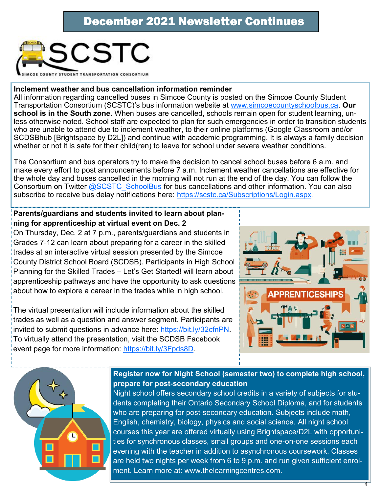

#### **Inclement weather and bus cancellation information reminder**

All information regarding cancelled buses in Simcoe County is posted on the Simcoe County Student Transportation Consortium (SCSTC)'s bus information website at [www.simcoecountyschoolbus.ca.](http://www.simcoecountyschoolbus.ca) **Our school is in the South zone.** When buses are cancelled, schools remain open for student learning, unless otherwise noted. School staff are expected to plan for such emergencies in order to transition students who are unable to attend due to inclement weather, to their online platforms (Google Classroom and/or SCDSBhub [Brightspace by D2L]) and continue with academic programming. It is always a family decision whether or not it is safe for their child(ren) to leave for school under severe weather conditions.

The Consortium and bus operators try to make the decision to cancel school buses before 6 a.m. and make every effort to post announcements before 7 a.m. Inclement weather cancellations are effective for the whole day and buses cancelled in the morning will not run at the end of the day. You can follow the Consortium on Twitter **[@SCSTC\\_SchoolBus](https://twitter.com/SCSTC_SchoolBus?ref_src=twsrc%5Egoogle%7Ctwcamp%5Eserp%7Ctwgr%5Eauthor)** for bus cancellations and other information. You can also subscribe to receive bus delay notifications here:<https://scstc.ca/Subscriptions/Login.aspx>.

## **Parents/guardians and students invited to learn about planning for apprenticeship at virtual event on Dec. 2**

On Thursday, Dec. 2 at 7 p.m., parents/guardians and students in Grades 7-12 can learn about preparing for a career in the skilled trades at an interactive virtual session presented by the Simcoe County District School Board (SCDSB). Participants in High School Planning for the Skilled Trades – Let's Get Started! will learn about apprenticeship pathways and have the opportunity to ask questions about how to explore a career in the trades while in high school.

The virtual presentation will include information about the skilled trades as well as a question and answer segment. Participants are invited to submit questions in advance here: [https://bit.ly/32cfnPN.](https://bit.ly/32cfnPN)  To virtually attend the presentation, visit the SCDSB Facebook event page for more information: [https://bit.ly/3Fpds8D.](https://bit.ly/3Fpds8D)





## **Register now for Night School (semester two) to complete high school, prepare for post-secondary education**

Night school offers secondary school credits in a variety of subjects for students completing their Ontario Secondary School Diploma, and for students who are preparing for post-secondary education. Subjects include math, English, chemistry, biology, physics and social science. All night school courses this year are offered virtually using Brightspace/D2L with opportunities for synchronous classes, small groups and one-on-one sessions each evening with the teacher in addition to asynchronous coursework. Classes are held two nights per week from 6 to 9 p.m. and run given sufficient enrolment. Learn more at: www.thelearningcentres.com.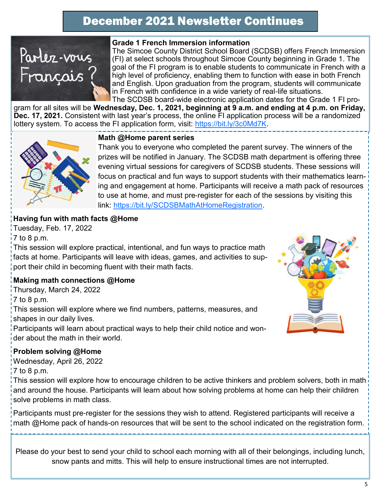

#### **Grade 1 French Immersion information**

The Simcoe County District School Board (SCDSB) offers French Immersion (FI) at select schools throughout Simcoe County beginning in Grade 1. The goal of the FI program is to enable students to communicate in French with a high level of proficiency, enabling them to function with ease in both French and English. Upon graduation from the program, students will communicate in French with confidence in a wide variety of real-life situations. The SCDSB board-wide electronic application dates for the Grade 1 FI pro-

gram for all sites will be **Wednesday, Dec. 1, 2021, beginning at 9 a.m. and ending at 4 p.m. on Friday, Dec. 17, 2021.** Consistent with last year's process, the online FI application process will be a randomized lottery system. To access the FI application form, visit: [https://bit.ly/3c0Md7K.](https://bit.ly/3c0Md7K) 



#### **Math @Home parent series**

Thank you to everyone who completed the parent survey. The winners of the prizes will be notified in January. The SCDSB math department is offering three evening virtual sessions for caregivers of SCDSB students. These sessions will focus on practical and fun ways to support students with their mathematics learning and engagement at home. Participants will receive a math pack of resources to use at home, and must pre-register for each of the sessions by visiting this link: [https://bit.ly/SCDSBMathAtHomeRegistration.](https://bit.ly/SCDSBMathAtHomeRegistration)

## **Having fun with math facts @Home**

Tuesday, Feb. 17, 2022 7 to 8 p.m.

This session will explore practical, intentional, and fun ways to practice math facts at home. Participants will leave with ideas, games, and activities to support their child in becoming fluent with their math facts.

## **Making math connections @Home**

Thursday, March 24, 2022

7 to 8 p.m.

This session will explore where we find numbers, patterns, measures, and shapes in our daily lives.

Participants will learn about practical ways to help their child notice and wonder about the math in their world.

## **Problem solving @Home**

Wednesday, April 26, 2022

7 to 8 p.m.

This session will explore how to encourage children to be active thinkers and problem solvers, both in math and around the house. Participants will learn about how solving problems at home can help their children solve problems in math class.

Participants must pre-register for the sessions they wish to attend. Registered participants will receive a math @Home pack of hands-on resources that will be sent to the school indicated on the registration form.

Please do your best to send your child to school each morning with all of their belongings, including lunch, snow pants and mitts. This will help to ensure instructional times are not interrupted.

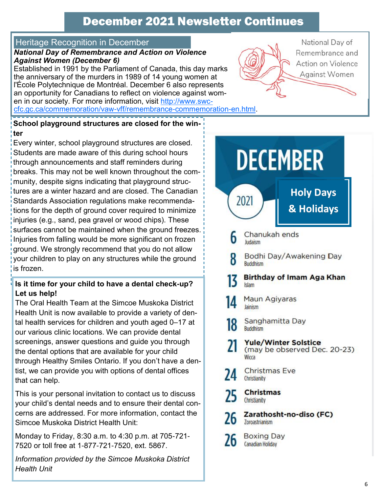## Heritage Recognition in December

#### *National Day of Remembrance and Action on Violence Against Women (December 6)*

Established in 1991 by the Parliament of Canada, this day marks the anniversary of the murders in 1989 of 14 young women at l'École Polytechnique de Montréal. December 6 also represents an opportunity for Canadians to reflect on violence against women in our society. For more information, visit [http://www.swc](http://www.swc-cfc.gc.ca/commemoration/vaw-vff/remembrance-commemoration-en.html)[cfc.gc.ca/commemoration/vaw-vff/remembrance-commemoration-en.html.](http://www.swc-cfc.gc.ca/commemoration/vaw-vff/remembrance-commemoration-en.html)



## **School playground structures are closed for the winter**

Every winter, school playground structures are closed. Students are made aware of this during school hours through announcements and staff reminders during breaks. This may not be well known throughout the community, despite signs indicating that playground structures are a winter hazard and are closed. The Canadian Standards Association regulations make recommendations for the depth of ground cover required to minimize injuries (e.g., sand, pea gravel or wood chips). These surfaces cannot be maintained when the ground freezes. Injuries from falling would be more significant on frozen ground. We strongly recommend that you do not allow your children to play on any structures while the ground is frozen.

## **Is it time for your child to have a dental check-up? Let us help!**

The Oral Health Team at the Simcoe Muskoka District Health Unit is now available to provide a variety of dental health services for children and youth aged 0–17 at our various clinic locations. We can provide dental screenings, answer questions and guide you through the dental options that are available for your child through Healthy Smiles Ontario. If you don't have a dentist, we can provide you with options of dental offices that can help.

This is your personal invitation to contact us to discuss your child's dental needs and to ensure their dental concerns are addressed. For more information, contact the Simcoe Muskoka District Health Unit:

Monday to Friday, 8:30 a.m. to 4:30 p.m. at 705-721- 7520 or toll free at 1-877-721-7520, ext. 5867.

*Information provided by the Simcoe Muskoka District Health Unit*